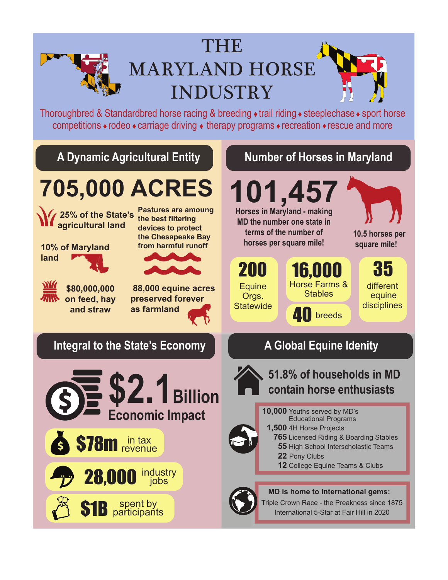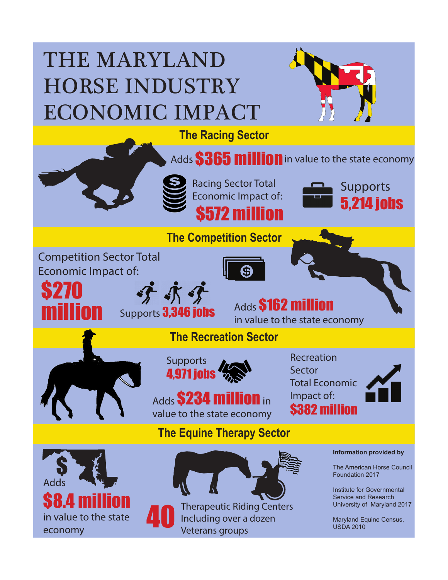## THE MARYLAND HORSE INDUSTRY ECONOMIC IMPACT **The Racing Sector** Adds **\$365 million** in value to the state economy Racing Sector Total Supports Economic Impact of: 5,214 jobs \$572 million **The Competition Sector** Competition Sector Total Economic Impact of: \$270 学术学 Adds **\$162 million** million Supports **3,346 jobs** in value to the state economy **The Recreation Sector** Recreation **Supports** Sector **nns** Total Economic Impact of: Adds **\$234 million** in \$382 million value to the state economy **The Equine Therapy Sector Information provided by** \$ The American Horse Council Foundation 2017 Adds Institute for Governmental Service and Research **S8.** Therapeutic Riding Centers University of Maryland 2017 40in value to the state Including over a dozen Maryland Equine Census, USDA 2010 economy Veterans groups